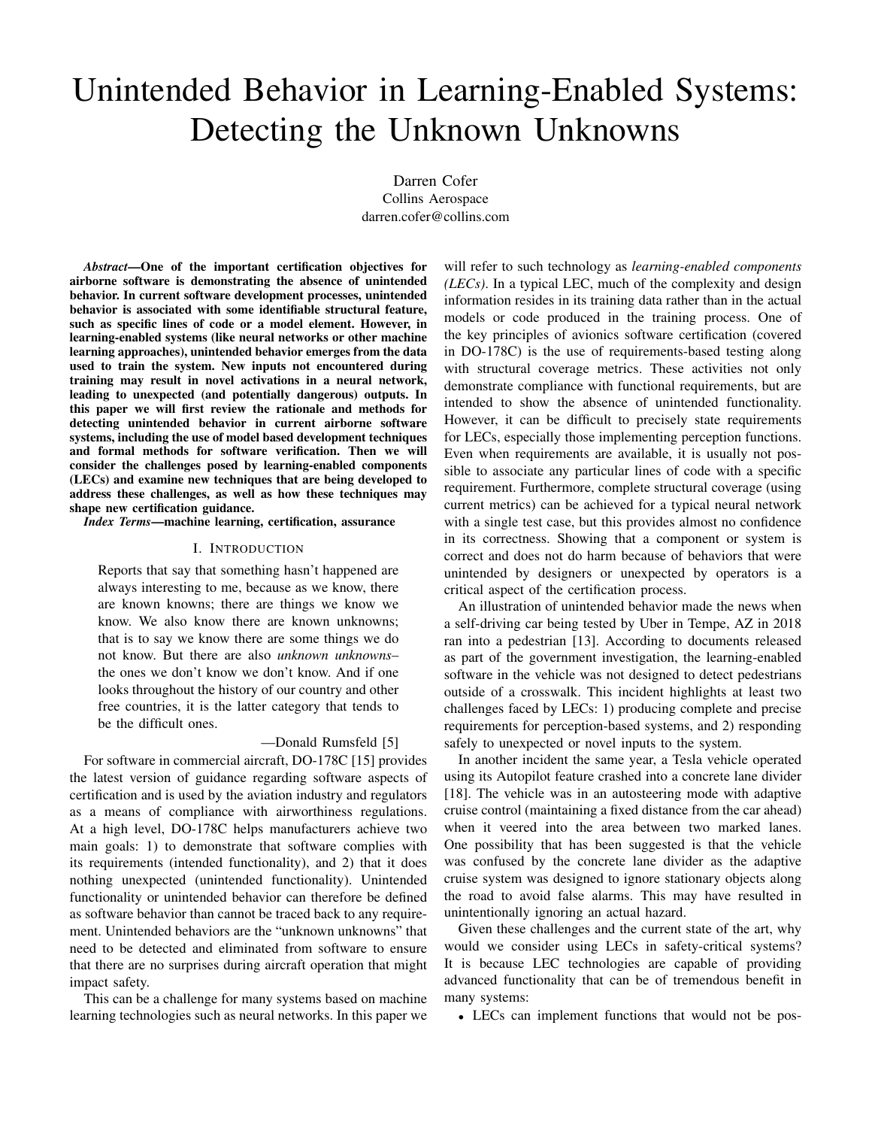# Unintended Behavior in Learning-Enabled Systems: Detecting the Unknown Unknowns

Darren Cofer Collins Aerospace darren.cofer@collins.com

*Abstract*—One of the important certification objectives for airborne software is demonstrating the absence of unintended behavior. In current software development processes, unintended behavior is associated with some identifiable structural feature, such as specific lines of code or a model element. However, in learning-enabled systems (like neural networks or other machine learning approaches), unintended behavior emerges from the data used to train the system. New inputs not encountered during training may result in novel activations in a neural network, leading to unexpected (and potentially dangerous) outputs. In this paper we will first review the rationale and methods for detecting unintended behavior in current airborne software systems, including the use of model based development techniques and formal methods for software verification. Then we will consider the challenges posed by learning-enabled components (LECs) and examine new techniques that are being developed to address these challenges, as well as how these techniques may shape new certification guidance.

*Index Terms*—machine learning, certification, assurance

## I. INTRODUCTION

Reports that say that something hasn't happened are always interesting to me, because as we know, there are known knowns; there are things we know we know. We also know there are known unknowns; that is to say we know there are some things we do not know. But there are also *unknown unknowns*the ones we don't know we don't know. And if one looks throughout the history of our country and other free countries, it is the latter category that tends to be the difficult ones.

### —Donald Rumsfeld [5]

For software in commercial aircraft, DO-178C [15] provides the latest version of guidance regarding software aspects of certification and is used by the aviation industry and regulators as a means of compliance with airworthiness regulations. At a high level, DO-178C helps manufacturers achieve two main goals: 1) to demonstrate that software complies with its requirements (intended functionality), and 2) that it does nothing unexpected (unintended functionality). Unintended functionality or unintended behavior can therefore be defined as software behavior than cannot be traced back to any requirement. Unintended behaviors are the "unknown unknowns" that need to be detected and eliminated from software to ensure that there are no surprises during aircraft operation that might impact safety.

This can be a challenge for many systems based on machine learning technologies such as neural networks. In this paper we

will refer to such technology as *learning-enabled components (LECs)*. In a typical LEC, much of the complexity and design information resides in its training data rather than in the actual models or code produced in the training process. One of the key principles of avionics software certification (covered in DO-178C) is the use of requirements-based testing along with structural coverage metrics. These activities not only demonstrate compliance with functional requirements, but are intended to show the absence of unintended functionality. However, it can be difficult to precisely state requirements for LECs, especially those implementing perception functions. Even when requirements are available, it is usually not possible to associate any particular lines of code with a specific requirement. Furthermore, complete structural coverage (using current metrics) can be achieved for a typical neural network with a single test case, but this provides almost no confidence in its correctness. Showing that a component or system is correct and does not do harm because of behaviors that were unintended by designers or unexpected by operators is a critical aspect of the certification process.

An illustration of unintended behavior made the news when a self-driving car being tested by Uber in Tempe, AZ in 2018 ran into a pedestrian [13]. According to documents released as part of the government investigation, the learning-enabled software in the vehicle was not designed to detect pedestrians outside of a crosswalk. This incident highlights at least two challenges faced by LECs: 1) producing complete and precise requirements for perception-based systems, and 2) responding safely to unexpected or novel inputs to the system.

In another incident the same year, a Tesla vehicle operated using its Autopilot feature crashed into a concrete lane divider [18]. The vehicle was in an autosteering mode with adaptive cruise control (maintaining a fixed distance from the car ahead) when it veered into the area between two marked lanes. One possibility that has been suggested is that the vehicle was confused by the concrete lane divider as the adaptive cruise system was designed to ignore stationary objects along the road to avoid false alarms. This may have resulted in unintentionally ignoring an actual hazard.

Given these challenges and the current state of the art, why would we consider using LECs in safety-critical systems? It is because LEC technologies are capable of providing advanced functionality that can be of tremendous benefit in many systems:

• LECs can implement functions that would not be pos-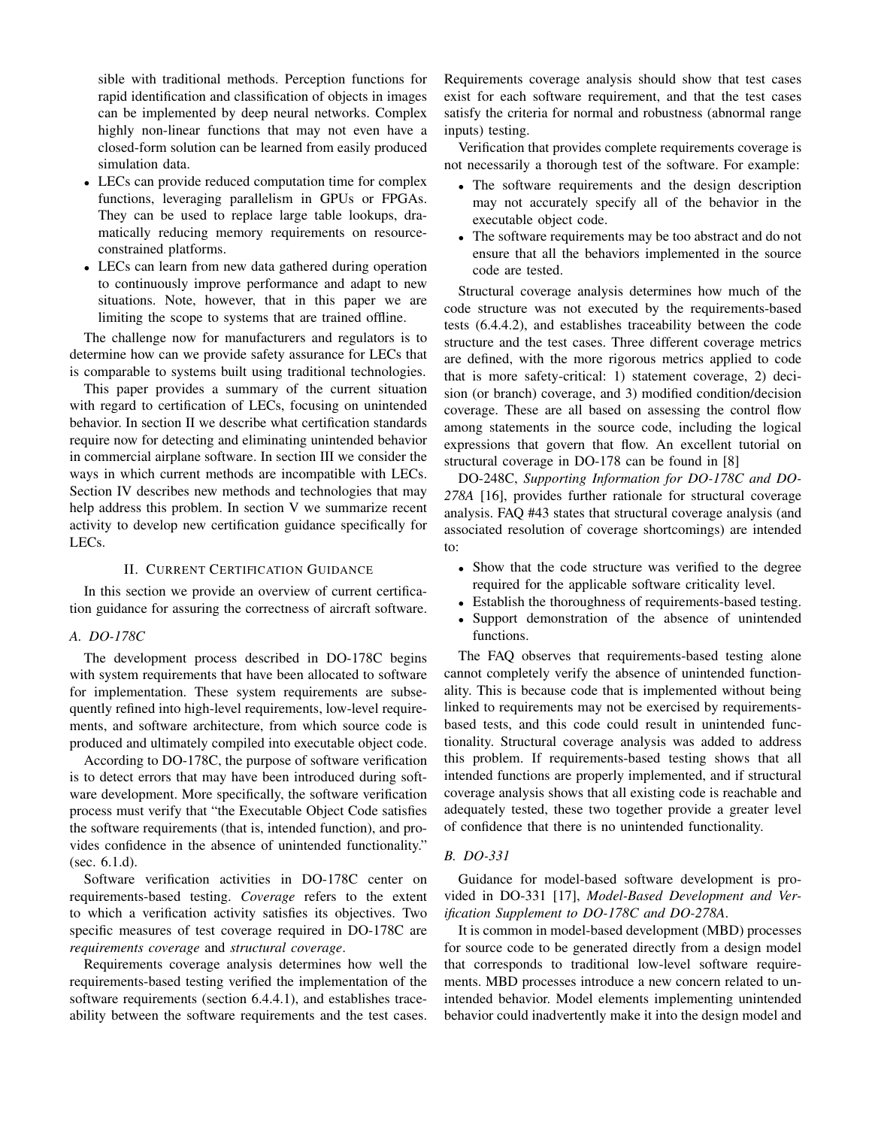sible with traditional methods. Perception functions for rapid identification and classification of objects in images can be implemented by deep neural networks. Complex highly non-linear functions that may not even have a closed-form solution can be learned from easily produced simulation data.

- LECs can provide reduced computation time for complex functions, leveraging parallelism in GPUs or FPGAs. They can be used to replace large table lookups, dramatically reducing memory requirements on resourceconstrained platforms.
- LECs can learn from new data gathered during operation to continuously improve performance and adapt to new situations. Note, however, that in this paper we are limiting the scope to systems that are trained offline.

The challenge now for manufacturers and regulators is to determine how can we provide safety assurance for LECs that is comparable to systems built using traditional technologies.

This paper provides a summary of the current situation with regard to certification of LECs, focusing on unintended behavior. In section II we describe what certification standards require now for detecting and eliminating unintended behavior in commercial airplane software. In section III we consider the ways in which current methods are incompatible with LECs. Section IV describes new methods and technologies that may help address this problem. In section V we summarize recent activity to develop new certification guidance specifically for LECs.

## II. CURRENT CERTIFICATION GUIDANCE

In this section we provide an overview of current certification guidance for assuring the correctness of aircraft software.

## *A. DO-178C*

The development process described in DO-178C begins with system requirements that have been allocated to software for implementation. These system requirements are subsequently refined into high-level requirements, low-level requirements, and software architecture, from which source code is produced and ultimately compiled into executable object code.

According to DO-178C, the purpose of software verification is to detect errors that may have been introduced during software development. More specifically, the software verification process must verify that "the Executable Object Code satisfies the software requirements (that is, intended function), and provides confidence in the absence of unintended functionality." (sec. 6.1.d).

Software verification activities in DO-178C center on requirements-based testing. *Coverage* refers to the extent to which a verification activity satisfies its objectives. Two specific measures of test coverage required in DO-178C are *requirements coverage* and *structural coverage*.

Requirements coverage analysis determines how well the requirements-based testing verified the implementation of the software requirements (section 6.4.4.1), and establishes traceability between the software requirements and the test cases. Requirements coverage analysis should show that test cases exist for each software requirement, and that the test cases satisfy the criteria for normal and robustness (abnormal range inputs) testing.

Verification that provides complete requirements coverage is not necessarily a thorough test of the software. For example:

- The software requirements and the design description may not accurately specify all of the behavior in the executable object code.
- The software requirements may be too abstract and do not ensure that all the behaviors implemented in the source code are tested.

Structural coverage analysis determines how much of the code structure was not executed by the requirements-based tests (6.4.4.2), and establishes traceability between the code structure and the test cases. Three different coverage metrics are defined, with the more rigorous metrics applied to code that is more safety-critical: 1) statement coverage, 2) decision (or branch) coverage, and 3) modified condition/decision coverage. These are all based on assessing the control flow among statements in the source code, including the logical expressions that govern that flow. An excellent tutorial on structural coverage in DO-178 can be found in [8]

DO-248C, *Supporting Information for DO-178C and DO-278A* [16], provides further rationale for structural coverage analysis. FAQ #43 states that structural coverage analysis (and associated resolution of coverage shortcomings) are intended to:

- Show that the code structure was verified to the degree required for the applicable software criticality level.
- Establish the thoroughness of requirements-based testing.
- Support demonstration of the absence of unintended functions.

The FAQ observes that requirements-based testing alone cannot completely verify the absence of unintended functionality. This is because code that is implemented without being linked to requirements may not be exercised by requirementsbased tests, and this code could result in unintended functionality. Structural coverage analysis was added to address this problem. If requirements-based testing shows that all intended functions are properly implemented, and if structural coverage analysis shows that all existing code is reachable and adequately tested, these two together provide a greater level of confidence that there is no unintended functionality.

## *B. DO-331*

Guidance for model-based software development is provided in DO-331 [17], *Model-Based Development and Verification Supplement to DO-178C and DO-278A*.

It is common in model-based development (MBD) processes for source code to be generated directly from a design model that corresponds to traditional low-level software requirements. MBD processes introduce a new concern related to unintended behavior. Model elements implementing unintended behavior could inadvertently make it into the design model and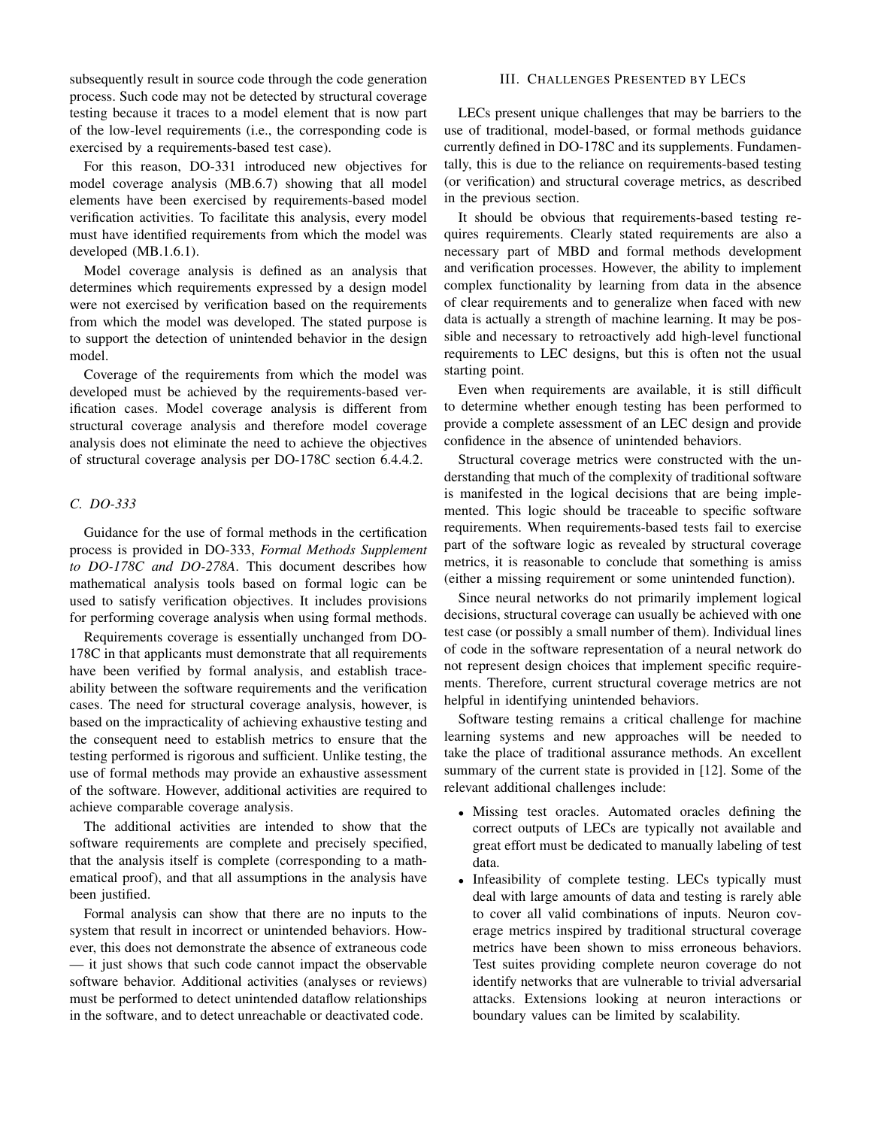subsequently result in source code through the code generation process. Such code may not be detected by structural coverage testing because it traces to a model element that is now part of the low-level requirements (i.e., the corresponding code is exercised by a requirements-based test case).

For this reason, DO-331 introduced new objectives for model coverage analysis (MB.6.7) showing that all model elements have been exercised by requirements-based model verification activities. To facilitate this analysis, every model must have identified requirements from which the model was developed (MB.1.6.1).

Model coverage analysis is defined as an analysis that determines which requirements expressed by a design model were not exercised by verification based on the requirements from which the model was developed. The stated purpose is to support the detection of unintended behavior in the design model.

Coverage of the requirements from which the model was developed must be achieved by the requirements-based verification cases. Model coverage analysis is different from structural coverage analysis and therefore model coverage analysis does not eliminate the need to achieve the objectives of structural coverage analysis per DO-178C section 6.4.4.2.

## *C. DO-333*

Guidance for the use of formal methods in the certification process is provided in DO-333, *Formal Methods Supplement to DO-178C and DO-278A*. This document describes how mathematical analysis tools based on formal logic can be used to satisfy verification objectives. It includes provisions for performing coverage analysis when using formal methods.

Requirements coverage is essentially unchanged from DO-178C in that applicants must demonstrate that all requirements have been verified by formal analysis, and establish traceability between the software requirements and the verification cases. The need for structural coverage analysis, however, is based on the impracticality of achieving exhaustive testing and the consequent need to establish metrics to ensure that the testing performed is rigorous and sufficient. Unlike testing, the use of formal methods may provide an exhaustive assessment of the software. However, additional activities are required to achieve comparable coverage analysis.

The additional activities are intended to show that the software requirements are complete and precisely specified, that the analysis itself is complete (corresponding to a mathematical proof), and that all assumptions in the analysis have been justified.

Formal analysis can show that there are no inputs to the system that result in incorrect or unintended behaviors. However, this does not demonstrate the absence of extraneous code — it just shows that such code cannot impact the observable software behavior. Additional activities (analyses or reviews) must be performed to detect unintended dataflow relationships in the software, and to detect unreachable or deactivated code.

## III. CHALLENGES PRESENTED BY LECS

LECs present unique challenges that may be barriers to the use of traditional, model-based, or formal methods guidance currently defined in DO-178C and its supplements. Fundamentally, this is due to the reliance on requirements-based testing (or verification) and structural coverage metrics, as described in the previous section.

It should be obvious that requirements-based testing requires requirements. Clearly stated requirements are also a necessary part of MBD and formal methods development and verification processes. However, the ability to implement complex functionality by learning from data in the absence of clear requirements and to generalize when faced with new data is actually a strength of machine learning. It may be possible and necessary to retroactively add high-level functional requirements to LEC designs, but this is often not the usual starting point.

Even when requirements are available, it is still difficult to determine whether enough testing has been performed to provide a complete assessment of an LEC design and provide confidence in the absence of unintended behaviors.

Structural coverage metrics were constructed with the understanding that much of the complexity of traditional software is manifested in the logical decisions that are being implemented. This logic should be traceable to specific software requirements. When requirements-based tests fail to exercise part of the software logic as revealed by structural coverage metrics, it is reasonable to conclude that something is amiss (either a missing requirement or some unintended function).

Since neural networks do not primarily implement logical decisions, structural coverage can usually be achieved with one test case (or possibly a small number of them). Individual lines of code in the software representation of a neural network do not represent design choices that implement specific requirements. Therefore, current structural coverage metrics are not helpful in identifying unintended behaviors.

Software testing remains a critical challenge for machine learning systems and new approaches will be needed to take the place of traditional assurance methods. An excellent summary of the current state is provided in [12]. Some of the relevant additional challenges include:

- Missing test oracles. Automated oracles defining the correct outputs of LECs are typically not available and great effort must be dedicated to manually labeling of test data.
- Infeasibility of complete testing. LECs typically must deal with large amounts of data and testing is rarely able to cover all valid combinations of inputs. Neuron coverage metrics inspired by traditional structural coverage metrics have been shown to miss erroneous behaviors. Test suites providing complete neuron coverage do not identify networks that are vulnerable to trivial adversarial attacks. Extensions looking at neuron interactions or boundary values can be limited by scalability.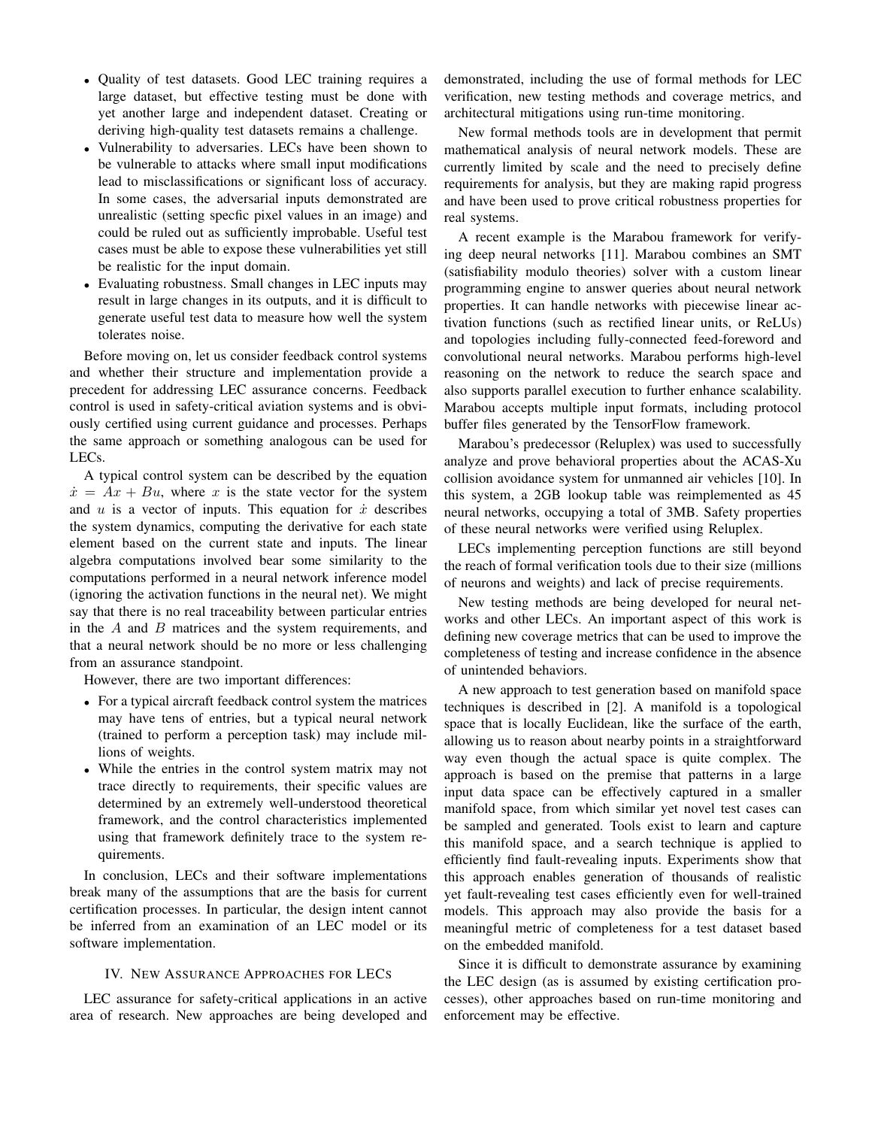- Quality of test datasets. Good LEC training requires a large dataset, but effective testing must be done with yet another large and independent dataset. Creating or deriving high-quality test datasets remains a challenge.
- Vulnerability to adversaries. LECs have been shown to be vulnerable to attacks where small input modifications lead to misclassifications or significant loss of accuracy. In some cases, the adversarial inputs demonstrated are unrealistic (setting specfic pixel values in an image) and could be ruled out as sufficiently improbable. Useful test cases must be able to expose these vulnerabilities yet still be realistic for the input domain.
- Evaluating robustness. Small changes in LEC inputs may result in large changes in its outputs, and it is difficult to generate useful test data to measure how well the system tolerates noise.

Before moving on, let us consider feedback control systems and whether their structure and implementation provide a precedent for addressing LEC assurance concerns. Feedback control is used in safety-critical aviation systems and is obviously certified using current guidance and processes. Perhaps the same approach or something analogous can be used for LECs.

A typical control system can be described by the equation  $\dot{x} = Ax + Bu$ , where x is the state vector for the system and  $u$  is a vector of inputs. This equation for  $\dot{x}$  describes the system dynamics, computing the derivative for each state element based on the current state and inputs. The linear algebra computations involved bear some similarity to the computations performed in a neural network inference model (ignoring the activation functions in the neural net). We might say that there is no real traceability between particular entries in the  $A$  and  $B$  matrices and the system requirements, and that a neural network should be no more or less challenging from an assurance standpoint.

However, there are two important differences:

- For a typical aircraft feedback control system the matrices may have tens of entries, but a typical neural network (trained to perform a perception task) may include millions of weights.
- While the entries in the control system matrix may not trace directly to requirements, their specific values are determined by an extremely well-understood theoretical framework, and the control characteristics implemented using that framework definitely trace to the system requirements.

In conclusion, LECs and their software implementations break many of the assumptions that are the basis for current certification processes. In particular, the design intent cannot be inferred from an examination of an LEC model or its software implementation.

## IV. NEW ASSURANCE APPROACHES FOR LECS

LEC assurance for safety-critical applications in an active area of research. New approaches are being developed and demonstrated, including the use of formal methods for LEC verification, new testing methods and coverage metrics, and architectural mitigations using run-time monitoring.

New formal methods tools are in development that permit mathematical analysis of neural network models. These are currently limited by scale and the need to precisely define requirements for analysis, but they are making rapid progress and have been used to prove critical robustness properties for real systems.

A recent example is the Marabou framework for verifying deep neural networks [11]. Marabou combines an SMT (satisfiability modulo theories) solver with a custom linear programming engine to answer queries about neural network properties. It can handle networks with piecewise linear activation functions (such as rectified linear units, or ReLUs) and topologies including fully-connected feed-foreword and convolutional neural networks. Marabou performs high-level reasoning on the network to reduce the search space and also supports parallel execution to further enhance scalability. Marabou accepts multiple input formats, including protocol buffer files generated by the TensorFlow framework.

Marabou's predecessor (Reluplex) was used to successfully analyze and prove behavioral properties about the ACAS-Xu collision avoidance system for unmanned air vehicles [10]. In this system, a 2GB lookup table was reimplemented as 45 neural networks, occupying a total of 3MB. Safety properties of these neural networks were verified using Reluplex.

LECs implementing perception functions are still beyond the reach of formal verification tools due to their size (millions of neurons and weights) and lack of precise requirements.

New testing methods are being developed for neural networks and other LECs. An important aspect of this work is defining new coverage metrics that can be used to improve the completeness of testing and increase confidence in the absence of unintended behaviors.

A new approach to test generation based on manifold space techniques is described in [2]. A manifold is a topological space that is locally Euclidean, like the surface of the earth, allowing us to reason about nearby points in a straightforward way even though the actual space is quite complex. The approach is based on the premise that patterns in a large input data space can be effectively captured in a smaller manifold space, from which similar yet novel test cases can be sampled and generated. Tools exist to learn and capture this manifold space, and a search technique is applied to efficiently find fault-revealing inputs. Experiments show that this approach enables generation of thousands of realistic yet fault-revealing test cases efficiently even for well-trained models. This approach may also provide the basis for a meaningful metric of completeness for a test dataset based on the embedded manifold.

Since it is difficult to demonstrate assurance by examining the LEC design (as is assumed by existing certification processes), other approaches based on run-time monitoring and enforcement may be effective.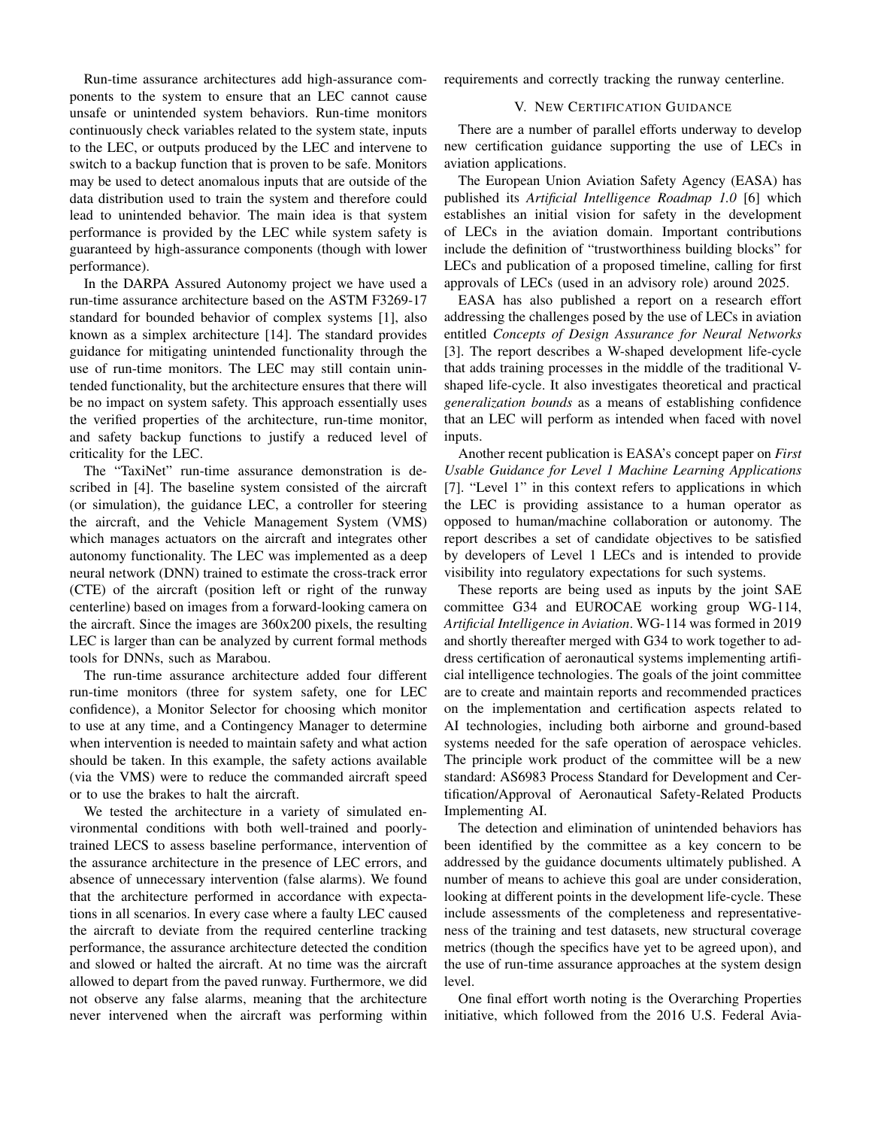Run-time assurance architectures add high-assurance components to the system to ensure that an LEC cannot cause unsafe or unintended system behaviors. Run-time monitors continuously check variables related to the system state, inputs to the LEC, or outputs produced by the LEC and intervene to switch to a backup function that is proven to be safe. Monitors may be used to detect anomalous inputs that are outside of the data distribution used to train the system and therefore could lead to unintended behavior. The main idea is that system performance is provided by the LEC while system safety is guaranteed by high-assurance components (though with lower performance).

In the DARPA Assured Autonomy project we have used a run-time assurance architecture based on the ASTM F3269-17 standard for bounded behavior of complex systems [1], also known as a simplex architecture [14]. The standard provides guidance for mitigating unintended functionality through the use of run-time monitors. The LEC may still contain unintended functionality, but the architecture ensures that there will be no impact on system safety. This approach essentially uses the verified properties of the architecture, run-time monitor, and safety backup functions to justify a reduced level of criticality for the LEC.

The "TaxiNet" run-time assurance demonstration is described in [4]. The baseline system consisted of the aircraft (or simulation), the guidance LEC, a controller for steering the aircraft, and the Vehicle Management System (VMS) which manages actuators on the aircraft and integrates other autonomy functionality. The LEC was implemented as a deep neural network (DNN) trained to estimate the cross-track error (CTE) of the aircraft (position left or right of the runway centerline) based on images from a forward-looking camera on the aircraft. Since the images are 360x200 pixels, the resulting LEC is larger than can be analyzed by current formal methods tools for DNNs, such as Marabou.

The run-time assurance architecture added four different run-time monitors (three for system safety, one for LEC confidence), a Monitor Selector for choosing which monitor to use at any time, and a Contingency Manager to determine when intervention is needed to maintain safety and what action should be taken. In this example, the safety actions available (via the VMS) were to reduce the commanded aircraft speed or to use the brakes to halt the aircraft.

We tested the architecture in a variety of simulated environmental conditions with both well-trained and poorlytrained LECS to assess baseline performance, intervention of the assurance architecture in the presence of LEC errors, and absence of unnecessary intervention (false alarms). We found that the architecture performed in accordance with expectations in all scenarios. In every case where a faulty LEC caused the aircraft to deviate from the required centerline tracking performance, the assurance architecture detected the condition and slowed or halted the aircraft. At no time was the aircraft allowed to depart from the paved runway. Furthermore, we did not observe any false alarms, meaning that the architecture never intervened when the aircraft was performing within

requirements and correctly tracking the runway centerline.

## V. NEW CERTIFICATION GUIDANCE

There are a number of parallel efforts underway to develop new certification guidance supporting the use of LECs in aviation applications.

The European Union Aviation Safety Agency (EASA) has published its *Artificial Intelligence Roadmap 1.0* [6] which establishes an initial vision for safety in the development of LECs in the aviation domain. Important contributions include the definition of "trustworthiness building blocks" for LECs and publication of a proposed timeline, calling for first approvals of LECs (used in an advisory role) around 2025.

EASA has also published a report on a research effort addressing the challenges posed by the use of LECs in aviation entitled *Concepts of Design Assurance for Neural Networks* [3]. The report describes a W-shaped development life-cycle that adds training processes in the middle of the traditional Vshaped life-cycle. It also investigates theoretical and practical *generalization bounds* as a means of establishing confidence that an LEC will perform as intended when faced with novel inputs.

Another recent publication is EASA's concept paper on *First Usable Guidance for Level 1 Machine Learning Applications* [7]. "Level 1" in this context refers to applications in which the LEC is providing assistance to a human operator as opposed to human/machine collaboration or autonomy. The report describes a set of candidate objectives to be satisfied by developers of Level 1 LECs and is intended to provide visibility into regulatory expectations for such systems.

These reports are being used as inputs by the joint SAE committee G34 and EUROCAE working group WG-114, *Artificial Intelligence in Aviation*. WG-114 was formed in 2019 and shortly thereafter merged with G34 to work together to address certification of aeronautical systems implementing artificial intelligence technologies. The goals of the joint committee are to create and maintain reports and recommended practices on the implementation and certification aspects related to AI technologies, including both airborne and ground-based systems needed for the safe operation of aerospace vehicles. The principle work product of the committee will be a new standard: AS6983 Process Standard for Development and Certification/Approval of Aeronautical Safety-Related Products Implementing AI.

The detection and elimination of unintended behaviors has been identified by the committee as a key concern to be addressed by the guidance documents ultimately published. A number of means to achieve this goal are under consideration, looking at different points in the development life-cycle. These include assessments of the completeness and representativeness of the training and test datasets, new structural coverage metrics (though the specifics have yet to be agreed upon), and the use of run-time assurance approaches at the system design level.

One final effort worth noting is the Overarching Properties initiative, which followed from the 2016 U.S. Federal Avia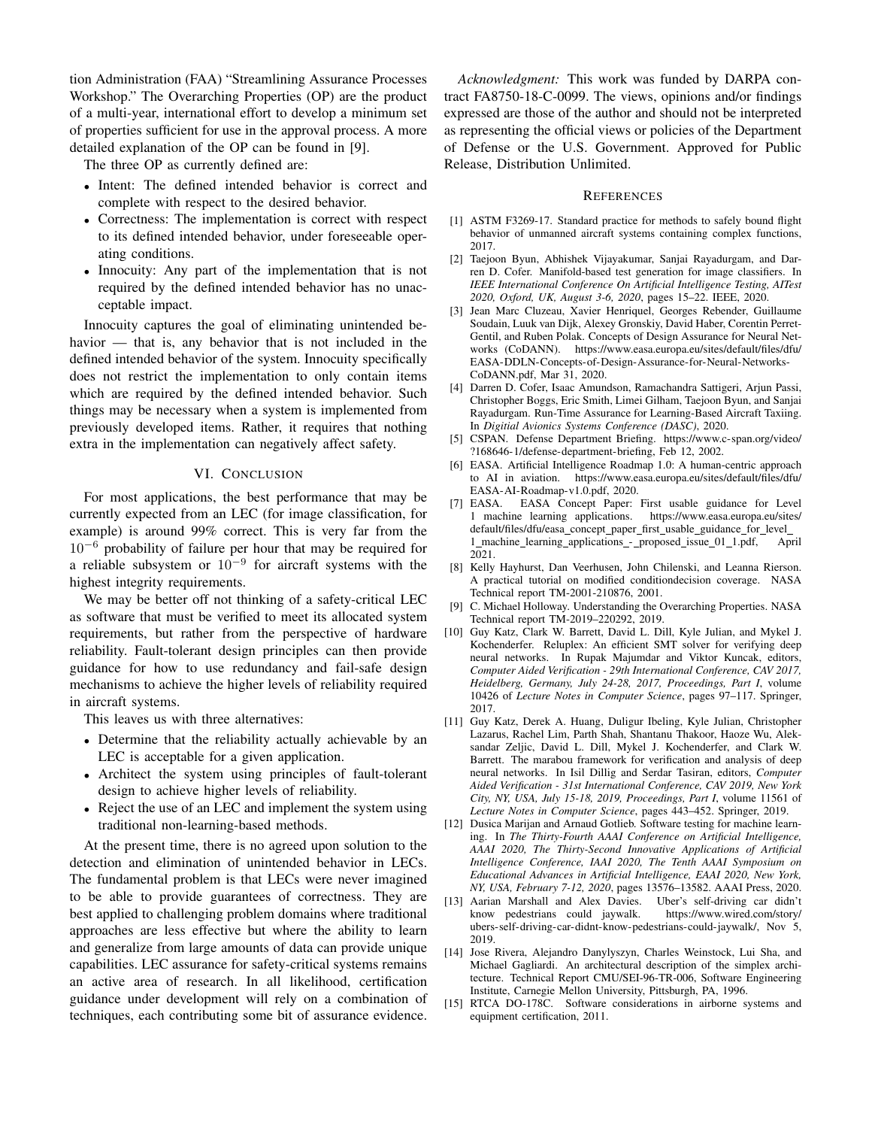tion Administration (FAA) "Streamlining Assurance Processes Workshop." The Overarching Properties (OP) are the product of a multi-year, international effort to develop a minimum set of properties sufficient for use in the approval process. A more detailed explanation of the OP can be found in [9].

The three OP as currently defined are:

- Intent: The defined intended behavior is correct and complete with respect to the desired behavior.
- Correctness: The implementation is correct with respect to its defined intended behavior, under foreseeable operating conditions.
- Innocuity: Any part of the implementation that is not required by the defined intended behavior has no unacceptable impact.

Innocuity captures the goal of eliminating unintended behavior — that is, any behavior that is not included in the defined intended behavior of the system. Innocuity specifically does not restrict the implementation to only contain items which are required by the defined intended behavior. Such things may be necessary when a system is implemented from previously developed items. Rather, it requires that nothing extra in the implementation can negatively affect safety.

## VI. CONCLUSION

For most applications, the best performance that may be currently expected from an LEC (for image classification, for example) is around 99% correct. This is very far from the 10<sup>−</sup><sup>6</sup> probability of failure per hour that may be required for a reliable subsystem or  $10^{-9}$  for aircraft systems with the highest integrity requirements.

We may be better off not thinking of a safety-critical LEC as software that must be verified to meet its allocated system requirements, but rather from the perspective of hardware reliability. Fault-tolerant design principles can then provide guidance for how to use redundancy and fail-safe design mechanisms to achieve the higher levels of reliability required in aircraft systems.

This leaves us with three alternatives:

- Determine that the reliability actually achievable by an LEC is acceptable for a given application.
- Architect the system using principles of fault-tolerant design to achieve higher levels of reliability.
- Reject the use of an LEC and implement the system using traditional non-learning-based methods.

At the present time, there is no agreed upon solution to the detection and elimination of unintended behavior in LECs. The fundamental problem is that LECs were never imagined to be able to provide guarantees of correctness. They are best applied to challenging problem domains where traditional approaches are less effective but where the ability to learn and generalize from large amounts of data can provide unique capabilities. LEC assurance for safety-critical systems remains an active area of research. In all likelihood, certification guidance under development will rely on a combination of techniques, each contributing some bit of assurance evidence.

*Acknowledgment:* This work was funded by DARPA contract FA8750-18-C-0099. The views, opinions and/or findings expressed are those of the author and should not be interpreted as representing the official views or policies of the Department of Defense or the U.S. Government. Approved for Public Release, Distribution Unlimited.

#### **REFERENCES**

- [1] ASTM F3269-17. Standard practice for methods to safely bound flight behavior of unmanned aircraft systems containing complex functions, 2017.
- [2] Taejoon Byun, Abhishek Vijayakumar, Sanjai Rayadurgam, and Darren D. Cofer. Manifold-based test generation for image classifiers. In *IEEE International Conference On Artificial Intelligence Testing, AITest 2020, Oxford, UK, August 3-6, 2020*, pages 15–22. IEEE, 2020.
- [3] Jean Marc Cluzeau, Xavier Henriquel, Georges Rebender, Guillaume Soudain, Luuk van Dijk, Alexey Gronskiy, David Haber, Corentin Perret-Gentil, and Ruben Polak. Concepts of Design Assurance for Neural Networks (CoDANN). https://www.easa.europa.eu/sites/default/files/dfu/ EASA-DDLN-Concepts-of-Design-Assurance-for-Neural-Networks-CoDANN.pdf, Mar 31, 2020.
- [4] Darren D. Cofer, Isaac Amundson, Ramachandra Sattigeri, Arjun Passi, Christopher Boggs, Eric Smith, Limei Gilham, Taejoon Byun, and Sanjai Rayadurgam. Run-Time Assurance for Learning-Based Aircraft Taxiing. In *Digitial Avionics Systems Conference (DASC)*, 2020.
- [5] CSPAN. Defense Department Briefing. https://www.c-span.org/video/ ?168646-1/defense-department-briefing, Feb 12, 2002.
- [6] EASA. Artificial Intelligence Roadmap 1.0: A human-centric approach to AI in aviation. https://www.easa.europa.eu/sites/default/files/dfu/ EASA-AI-Roadmap-v1.0.pdf, 2020.
- [7] EASA. EASA Concept Paper: First usable guidance for Level 1 machine learning applications. https://www.easa.europa.eu/sites/ 1 machine learning applications. default/files/dfu/easa\_concept\_paper\_first\_usable\_guidance\_for\_level\_ 1 machine learning applications - proposed issue 01 1.pdf, April 2021.
- [8] Kelly Hayhurst, Dan Veerhusen, John Chilenski, and Leanna Rierson. A practical tutorial on modified conditiondecision coverage. NASA Technical report TM-2001-210876, 2001.
- [9] C. Michael Holloway. Understanding the Overarching Properties. NASA Technical report TM-2019–220292, 2019.
- [10] Guy Katz, Clark W. Barrett, David L. Dill, Kyle Julian, and Mykel J. Kochenderfer. Reluplex: An efficient SMT solver for verifying deep neural networks. In Rupak Majumdar and Viktor Kuncak, editors, *Computer Aided Verification - 29th International Conference, CAV 2017, Heidelberg, Germany, July 24-28, 2017, Proceedings, Part I*, volume 10426 of *Lecture Notes in Computer Science*, pages 97–117. Springer, 2017.
- [11] Guy Katz, Derek A. Huang, Duligur Ibeling, Kyle Julian, Christopher Lazarus, Rachel Lim, Parth Shah, Shantanu Thakoor, Haoze Wu, Aleksandar Zeljic, David L. Dill, Mykel J. Kochenderfer, and Clark W. Barrett. The marabou framework for verification and analysis of deep neural networks. In Isil Dillig and Serdar Tasiran, editors, *Computer Aided Verification - 31st International Conference, CAV 2019, New York City, NY, USA, July 15-18, 2019, Proceedings, Part I*, volume 11561 of *Lecture Notes in Computer Science*, pages 443–452. Springer, 2019.
- [12] Dusica Marijan and Arnaud Gotlieb. Software testing for machine learning. In *The Thirty-Fourth AAAI Conference on Artificial Intelligence, AAAI 2020, The Thirty-Second Innovative Applications of Artificial Intelligence Conference, IAAI 2020, The Tenth AAAI Symposium on Educational Advances in Artificial Intelligence, EAAI 2020, New York, NY, USA, February 7-12, 2020*, pages 13576–13582. AAAI Press, 2020.
- [13] Aarian Marshall and Alex Davies. Uber's self-driving car didn't know pedestrians could jaywalk. ubers-self-driving-car-didnt-know-pedestrians-could-jaywalk/, Nov 5, 2019.
- [14] Jose Rivera, Alejandro Danylyszyn, Charles Weinstock, Lui Sha, and Michael Gagliardi. An architectural description of the simplex architecture. Technical Report CMU/SEI-96-TR-006, Software Engineering Institute, Carnegie Mellon University, Pittsburgh, PA, 1996.
- [15] RTCA DO-178C. Software considerations in airborne systems and equipment certification, 2011.